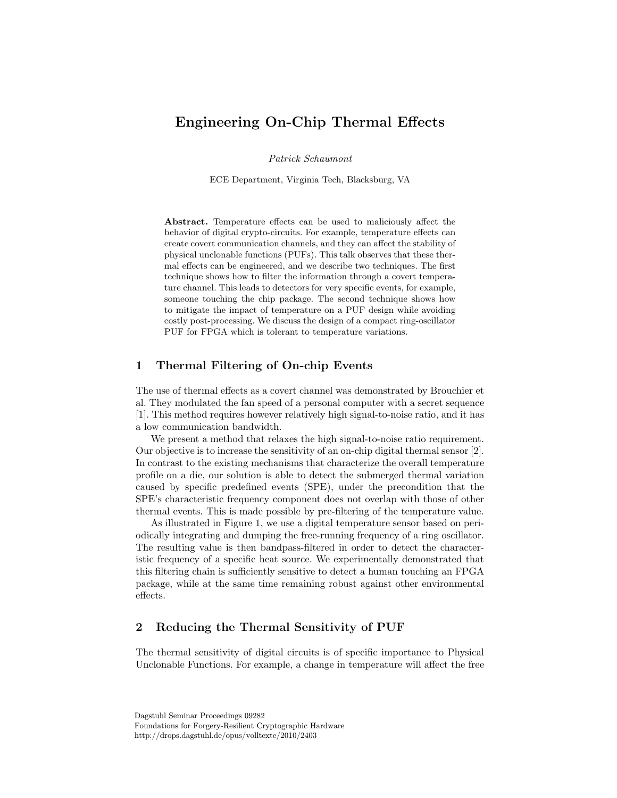# Engineering On-Chip Thermal Effects

Patrick Schaumont

ECE Department, Virginia Tech, Blacksburg, VA

Abstract. Temperature effects can be used to maliciously affect the behavior of digital crypto-circuits. For example, temperature effects can create covert communication channels, and they can affect the stability of physical unclonable functions (PUFs). This talk observes that these thermal effects can be engineered, and we describe two techniques. The first technique shows how to filter the information through a covert temperature channel. This leads to detectors for very specific events, for example, someone touching the chip package. The second technique shows how to mitigate the impact of temperature on a PUF design while avoiding costly post-processing. We discuss the design of a compact ring-oscillator PUF for FPGA which is tolerant to temperature variations.

## 1 Thermal Filtering of On-chip Events

The use of thermal effects as a covert channel was demonstrated by Brouchier et al. They modulated the fan speed of a personal computer with a secret sequence [1]. This method requires however relatively high signal-to-noise ratio, and it has a low communication bandwidth.

We present a method that relaxes the high signal-to-noise ratio requirement. Our objective is to increase the sensitivity of an on-chip digital thermal sensor [2]. In contrast to the existing mechanisms that characterize the overall temperature profile on a die, our solution is able to detect the submerged thermal variation caused by specific predefined events (SPE), under the precondition that the SPE's characteristic frequency component does not overlap with those of other thermal events. This is made possible by pre-filtering of the temperature value.

As illustrated in Figure 1, we use a digital temperature sensor based on periodically integrating and dumping the free-running frequency of a ring oscillator. The resulting value is then bandpass-filtered in order to detect the characteristic frequency of a specific heat source. We experimentally demonstrated that this filtering chain is sufficiently sensitive to detect a human touching an FPGA package, while at the same time remaining robust against other environmental effects.

# 2 Reducing the Thermal Sensitivity of PUF

The thermal sensitivity of digital circuits is of specific importance to Physical Unclonable Functions. For example, a change in temperature will affect the free